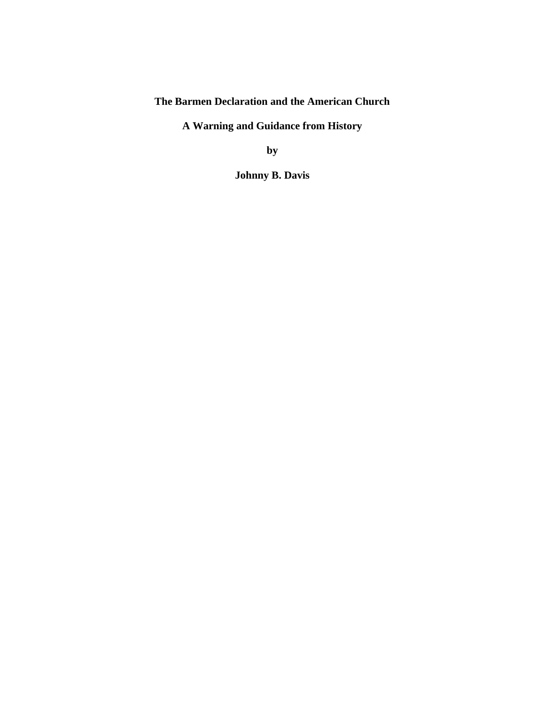**The Barmen Declaration and the American Church**

**A Warning and Guidance from History**

**by**

**Johnny B. Davis**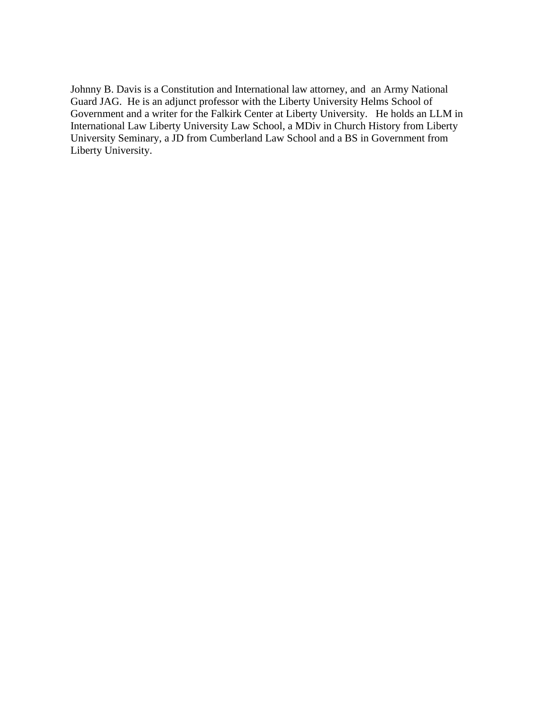Johnny B. Davis is a Constitution and International law attorney, and an Army National Guard JAG. He is an adjunct professor with the Liberty University Helms School of Government and a writer for the Falkirk Center at Liberty University. He holds an LLM in International Law Liberty University Law School, a MDiv in Church History from Liberty University Seminary, a JD from Cumberland Law School and a BS in Government from Liberty University.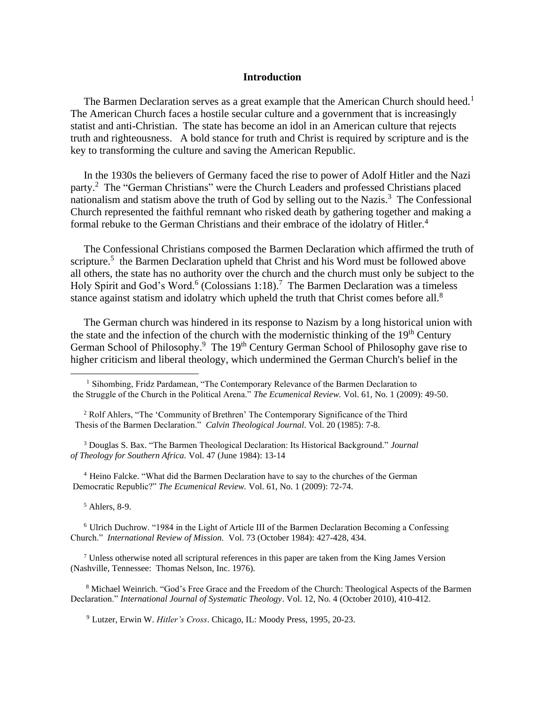#### **Introduction**

The Barmen Declaration serves as a great example that the American Church should heed.<sup>1</sup> The American Church faces a hostile secular culture and a government that is increasingly statist and anti-Christian. The state has become an idol in an American culture that rejects truth and righteousness. A bold stance for truth and Christ is required by scripture and is the key to transforming the culture and saving the American Republic.

 In the 1930s the believers of Germany faced the rise to power of Adolf Hitler and the Nazi party.<sup>2</sup> The "German Christians" were the Church Leaders and professed Christians placed nationalism and statism above the truth of God by selling out to the Nazis.<sup>3</sup> The Confessional Church represented the faithful remnant who risked death by gathering together and making a formal rebuke to the German Christians and their embrace of the idolatry of Hitler.<sup>4</sup>

 The Confessional Christians composed the Barmen Declaration which affirmed the truth of scripture.<sup>5</sup> the Barmen Declaration upheld that Christ and his Word must be followed above all others, the state has no authority over the church and the church must only be subject to the Holy Spirit and God's Word.<sup>6</sup> (Colossians 1:18).<sup>7</sup> The Barmen Declaration was a timeless stance against statism and idolatry which upheld the truth that Christ comes before all.<sup>8</sup>

 The German church was hindered in its response to Nazism by a long historical union with the state and the infection of the church with the modernistic thinking of the  $19<sup>th</sup>$  Century German School of Philosophy.<sup>9</sup> The 19<sup>th</sup> Century German School of Philosophy gave rise to higher criticism and liberal theology, which undermined the German Church's belief in the

<sup>2</sup> Rolf Ahlers, "The 'Community of Brethren' The Contemporary Significance of the Third Thesis of the Barmen Declaration." *Calvin Theological Journal*. Vol. 20 (1985): 7-8.

<sup>3</sup> Douglas S. Bax. "The Barmen Theological Declaration: Its Historical Background." *Journal of Theology for Southern Africa.* Vol. 47 (June 1984): 13-14

<sup>4</sup> Heino Falcke. "What did the Barmen Declaration have to say to the churches of the German Democratic Republic?" *The Ecumenical Review.* Vol. 61, No. 1 (2009): 72-74.

<sup>5</sup> Ahlers, 8-9.

<sup>6</sup> Ulrich Duchrow. "1984 in the Light of Article III of the Barmen Declaration Becoming a Confessing Church." *International Review of Mission.* Vol. 73 (October 1984): 427-428, 434.

 $<sup>7</sup>$  Unless otherwise noted all scriptural references in this paper are taken from the King James Version</sup> (Nashville, Tennessee: Thomas Nelson, Inc. 1976).

<sup>8</sup> Michael Weinrich. "God's Free Grace and the Freedom of the Church: Theological Aspects of the Barmen Declaration." *International Journal of Systematic Theology*. Vol. 12, No. 4 (October 2010), 410-412.

<sup>9</sup> Lutzer, Erwin W. *Hitler's Cross*. Chicago, IL: Moody Press, 1995, 20-23.

<sup>&</sup>lt;sup>1</sup> Sihombing, Fridz Pardamean, "The Contemporary Relevance of the Barmen Declaration to the Struggle of the Church in the Political Arena." *The Ecumenical Review.* Vol. 61, No. 1 (2009): 49-50.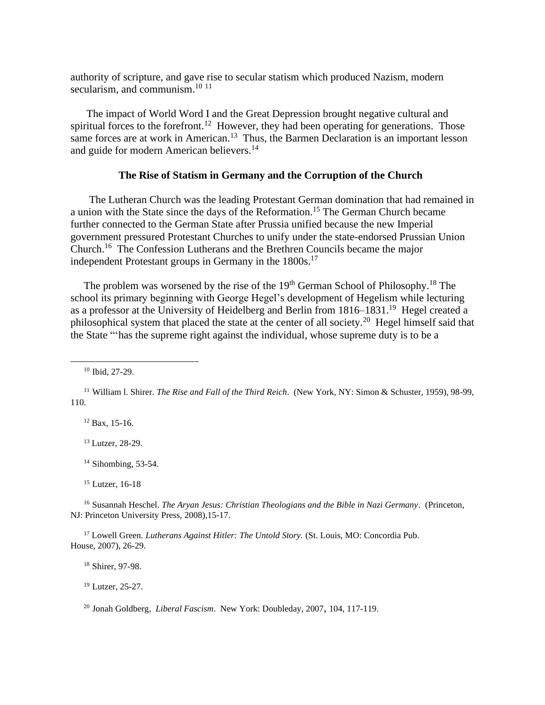authority of scripture, and gave rise to secular statism which produced Nazism, modern secularism, and communism.<sup>10 11</sup>

 The impact of World Word I and the Great Depression brought negative cultural and spiritual forces to the forefront.<sup>12</sup> However, they had been operating for generations. Those same forces are at work in American.<sup>13</sup> Thus, the Barmen Declaration is an important lesson and guide for modern American believers.<sup>14</sup>

# **The Rise of Statism in Germany and the Corruption of the Church**

 The Lutheran Church was the leading Protestant German domination that had remained in a union with the State since the days of the Reformation.<sup>15</sup> The German Church became further connected to the German State after Prussia unified because the new Imperial government pressured Protestant Churches to unify under the state-endorsed Prussian Union Church.<sup>16</sup> The Confession Lutherans and the Brethren Councils became the major independent Protestant groups in Germany in the 1800s.<sup>17</sup>

The problem was worsened by the rise of the  $19<sup>th</sup>$  German School of Philosophy.<sup>18</sup> The school its primary beginning with George Hegel's development of Hegelism while lecturing as a professor at the University of Heidelberg and Berlin from 1816–1831.<sup>19</sup> Hegel created a philosophical system that placed the state at the center of all society.<sup>20</sup> Hegel himself said that the State "'has the supreme right against the individual, whose supreme duty is to be a

<sup>10</sup> Ibid, 27-29.

 $12$  Bax, 15-16.

<sup>13</sup> Lutzer, 28-29.

 $14$  Sihombing, 53-54.

<sup>15</sup> Lutzer, 16-18

<sup>16</sup> Susannah Heschel. *The Aryan Jesus: Christian Theologians and the Bible in Nazi Germany*. (Princeton, NJ: Princeton University Press, 2008),15-17.

<sup>17</sup> Lowell Green. *Lutherans Against Hitler: The Untold Story.* (St. Louis, MO: Concordia Pub. House, 2007), 26-29.

<sup>18</sup> Shirer, 97-98.

<sup>19</sup> Lutzer, 25-27.

<sup>20</sup> Jonah Goldberg, *Liberal Fascism*. New York: Doubleday, 2007, 104, 117-119.

<sup>11</sup> William l. Shirer. *The Rise and Fall of the Third Reich*. (New York, NY: Simon & Schuster, 1959), 98-99, 110.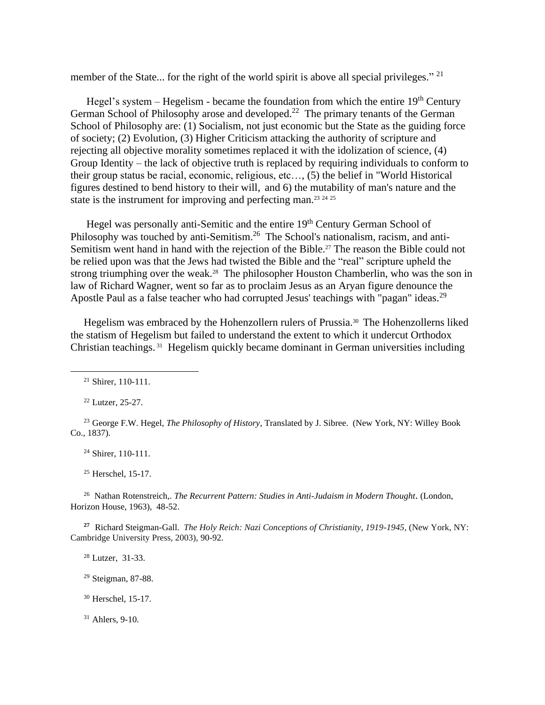member of the State... for the right of the world spirit is above all special privileges."<sup>21</sup>

Hegel's system – Hegelism - became the foundation from which the entire  $19<sup>th</sup>$  Century German School of Philosophy arose and developed.<sup>22</sup> The primary tenants of the German School of Philosophy are: (1) Socialism, not just economic but the State as the guiding force of society; (2) Evolution, (3) Higher Criticism attacking the authority of scripture and rejecting all objective morality sometimes replaced it with the idolization of science, (4) Group Identity – the lack of objective truth is replaced by requiring individuals to conform to their group status be racial, economic, religious, etc…, (5) the belief in "World Historical figures destined to bend history to their will, and 6) the mutability of man's nature and the state is the instrument for improving and perfecting man.<sup>23</sup> 24 25

Hegel was personally anti-Semitic and the entire 19<sup>th</sup> Century German School of Philosophy was touched by anti-Semitism.<sup>26</sup> The School's nationalism, racism, and anti-Semitism went hand in hand with the rejection of the Bible.<sup>27</sup> The reason the Bible could not be relied upon was that the Jews had twisted the Bible and the "real" scripture upheld the strong triumphing over the weak.<sup>28</sup> The philosopher Houston Chamberlin, who was the son in law of Richard Wagner, went so far as to proclaim Jesus as an Aryan figure denounce the Apostle Paul as a false teacher who had corrupted Jesus' teachings with "pagan" ideas.<sup>29</sup>

Hegelism was embraced by the Hohenzollern rulers of Prussia.<sup>30</sup> The Hohenzollerns liked the statism of Hegelism but failed to understand the extent to which it undercut Orthodox Christian teachings. <sup>31</sup> Hegelism quickly became dominant in German universities including

<sup>22</sup> Lutzer, 25-27.

<sup>23</sup> George F.W. Hegel, *The Philosophy of History*, Translated by J. Sibree. (New York, NY: Willey Book Co., 1837).

<sup>24</sup> Shirer, 110-111.

<sup>25</sup> Herschel, 15-17.

<sup>26</sup> Nathan Rotenstreich,. *The Recurrent Pattern: Studies in Anti-Judaism in Modern Thought.* (London, Horizon House, 1963), 48-52.

**<sup>27</sup>** Richard Steigman-Gall. *The Holy Reich: Nazi Conceptions of Christianity, 1919-1945,* (New York, NY: Cambridge University Press, 2003), 90-92.

<sup>28</sup> Lutzer, 31-33.

<sup>29</sup> Steigman, 87-88.

<sup>30</sup> Herschel, 15-17.

 $31$  Ahlers, 9-10.

<sup>21</sup> Shirer, 110-111.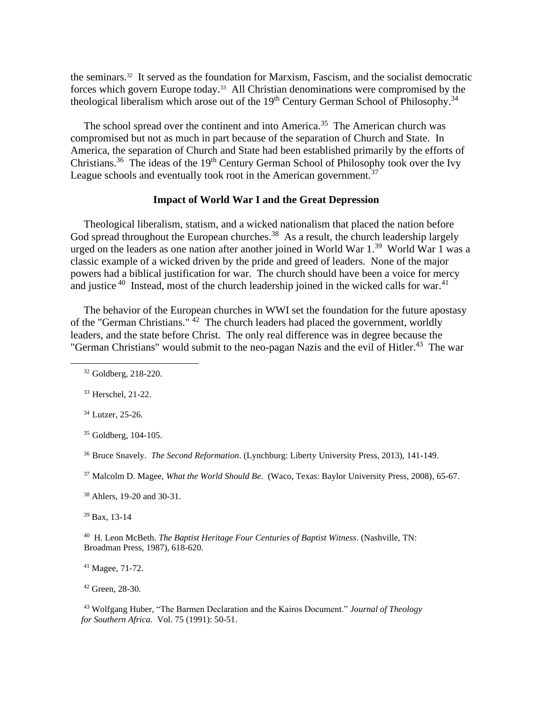the seminars.<sup>32</sup> It served as the foundation for Marxism, Fascism, and the socialist democratic forces which govern Europe today.<sup>33</sup> All Christian denominations were compromised by the theological liberalism which arose out of the  $19<sup>th</sup>$  Century German School of Philosophy.<sup>34</sup>

The school spread over the continent and into America.<sup>35</sup> The American church was compromised but not as much in part because of the separation of Church and State. In America, the separation of Church and State had been established primarily by the efforts of Christians.<sup>36</sup> The ideas of the 19<sup>th</sup> Century German School of Philosophy took over the Ivy League schools and eventually took root in the American government.<sup>37</sup>

# **Impact of World War I and the Great Depression**

 Theological liberalism, statism, and a wicked nationalism that placed the nation before God spread throughout the European churches.<sup>38</sup> As a result, the church leadership largely urged on the leaders as one nation after another joined in World War 1.<sup>39</sup> World War 1 was a classic example of a wicked driven by the pride and greed of leaders. None of the major powers had a biblical justification for war. The church should have been a voice for mercy and justice  $40$  Instead, most of the church leadership joined in the wicked calls for war.  $41$ 

 The behavior of the European churches in WWI set the foundation for the future apostasy of the "German Christians." <sup>42</sup> The church leaders had placed the government, worldly leaders, and the state before Christ. The only real difference was in degree because the "German Christians" would submit to the neo-pagan Nazis and the evil of Hitler.<sup>43</sup> The war

<sup>37</sup> Malcolm D. Magee, *What the World Should Be*. (Waco, Texas: Baylor University Press, 2008), 65-67.

<sup>38</sup> Ahlers, 19-20 and 30-31.

<sup>39</sup> Bax, 13-14

<sup>40</sup> H. Leon McBeth. *The Baptist Heritage Four Centuries of Baptist Witness*. (Nashville, TN: Broadman Press, 1987), 618-620.

<sup>41</sup> Magee, 71-72.

<sup>42</sup> Green, 28-30.

<sup>43</sup> Wolfgang Huber, "The Barmen Declaration and the Kairos Document." *Journal of Theology for Southern Africa.* Vol. 75 (1991): 50-51.

<sup>32</sup> Goldberg, 218-220.

<sup>33</sup> Herschel, 21-22.

<sup>34</sup> Lutzer, 25-26.

<sup>35</sup> Goldberg, 104-105.

<sup>36</sup> Bruce Snavely. *The Second Reformation*. (Lynchburg: Liberty University Press, 2013), 141-149.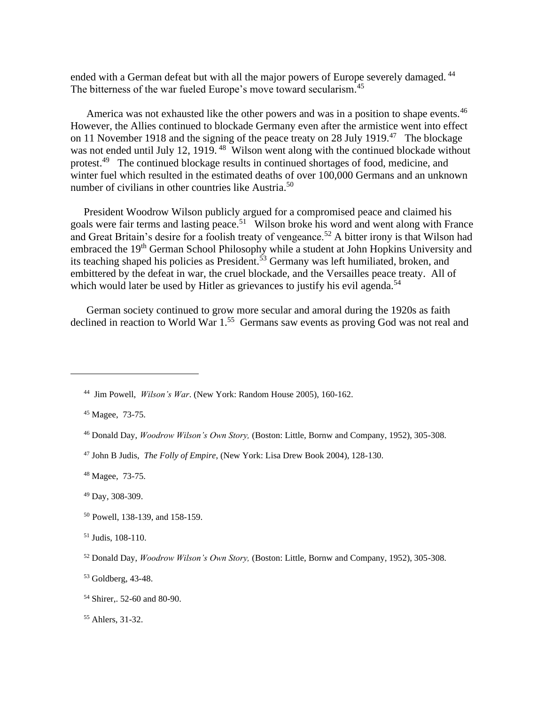ended with a German defeat but with all the major powers of Europe severely damaged.<sup>44</sup> The bitterness of the war fueled Europe's move toward secularism.<sup>45</sup>

America was not exhausted like the other powers and was in a position to shape events.<sup>46</sup> However, the Allies continued to blockade Germany even after the armistice went into effect on 11 November 1918 and the signing of the peace treaty on 28 July 1919.<sup>47</sup> The blockage was not ended until July 12, 1919.<sup>48</sup> Wilson went along with the continued blockade without protest.<sup>49</sup> The continued blockage results in continued shortages of food, medicine, and winter fuel which resulted in the estimated deaths of over 100,000 Germans and an unknown number of civilians in other countries like Austria.<sup>50</sup>

 President Woodrow Wilson publicly argued for a compromised peace and claimed his goals were fair terms and lasting peace.<sup>51</sup> Wilson broke his word and went along with France and Great Britain's desire for a foolish treaty of vengeance.<sup>52</sup> A bitter irony is that Wilson had embraced the 19<sup>th</sup> German School Philosophy while a student at John Hopkins University and its teaching shaped his policies as President.<sup>53</sup> Germany was left humiliated, broken, and embittered by the defeat in war, the cruel blockade, and the Versailles peace treaty. All of which would later be used by Hitler as grievances to justify his evil agenda.<sup>54</sup>

 German society continued to grow more secular and amoral during the 1920s as faith declined in reaction to World War 1.<sup>55</sup> Germans saw events as proving God was not real and

- <sup>50</sup> Powell, 138-139, and 158-159.
- <sup>51</sup> Judis, 108-110.

<sup>44</sup> Jim Powell, *Wilson's War*. (New York: Random House 2005), 160-162.

<sup>45</sup> Magee, 73-75.

<sup>46</sup> Donald Day, *Woodrow Wilson's Own Story,* (Boston: Little, Bornw and Company, 1952), 305-308.

<sup>47</sup> John B Judis, *The Folly of Empire*, (New York: Lisa Drew Book 2004), 128-130.

<sup>48</sup> Magee, 73-75.

<sup>49</sup> Day, 308-309.

<sup>52</sup> Donald Day, *Woodrow Wilson's Own Story,* (Boston: Little, Bornw and Company, 1952), 305-308.

<sup>53</sup> Goldberg, 43-48.

<sup>54</sup> Shirer,. 52-60 and 80-90.

<sup>55</sup> Ahlers, 31-32.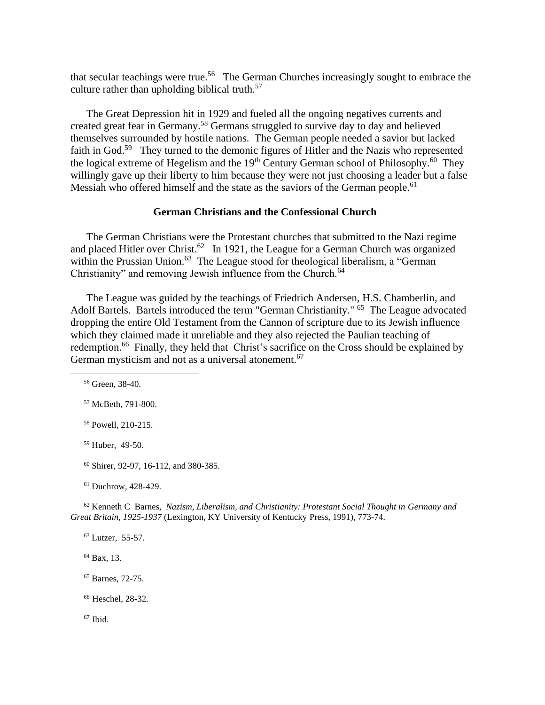that secular teachings were true.<sup>56</sup> The German Churches increasingly sought to embrace the culture rather than upholding biblical truth.<sup>57</sup>

 The Great Depression hit in 1929 and fueled all the ongoing negatives currents and created great fear in Germany.<sup>58</sup> Germans struggled to survive day to day and believed themselves surrounded by hostile nations. The German people needed a savior but lacked faith in God.<sup>59</sup> They turned to the demonic figures of Hitler and the Nazis who represented the logical extreme of Hegelism and the 19<sup>th</sup> Century German school of Philosophy.<sup>60</sup> They willingly gave up their liberty to him because they were not just choosing a leader but a false Messiah who offered himself and the state as the saviors of the German people.<sup>61</sup>

# **German Christians and the Confessional Church**

 The German Christians were the Protestant churches that submitted to the Nazi regime and placed Hitler over Christ.<sup>62</sup> In 1921, the League for a German Church was organized within the Prussian Union.<sup>63</sup> The League stood for theological liberalism, a "German Christianity" and removing Jewish influence from the Church.<sup>64</sup>

 The League was guided by the teachings of Friedrich Andersen, H.S. Chamberlin, and Adolf Bartels. Bartels introduced the term "German Christianity." <sup>65</sup> The League advocated dropping the entire Old Testament from the Cannon of scripture due to its Jewish influence which they claimed made it unreliable and they also rejected the Paulian teaching of redemption.<sup>66</sup> Finally, they held that Christ's sacrifice on the Cross should be explained by German mysticism and not as a universal atonement.<sup>67</sup>

<sup>56</sup> Green, 38-40.

<sup>57</sup> McBeth, 791-800.

<sup>58</sup> Powell, 210-215.

<sup>59</sup> Huber, 49-50.

<sup>60</sup> Shirer, 92-97, 16-112, and 380-385.

<sup>61</sup> Duchrow, 428-429.

<sup>62</sup> Kenneth C Barnes, *Nazism, Liberalism, and Christianity: Protestant Social Thought in Germany and Great Britain, 1925-1937* (Lexington, KY University of Kentucky Press, 1991), 773-74.

<sup>63</sup> Lutzer, 55-57.

<sup>64</sup> Bax, 13.

<sup>65</sup> Barnes, 72-75.

<sup>66</sup> Heschel, 28-32.

 $67$  Ibid.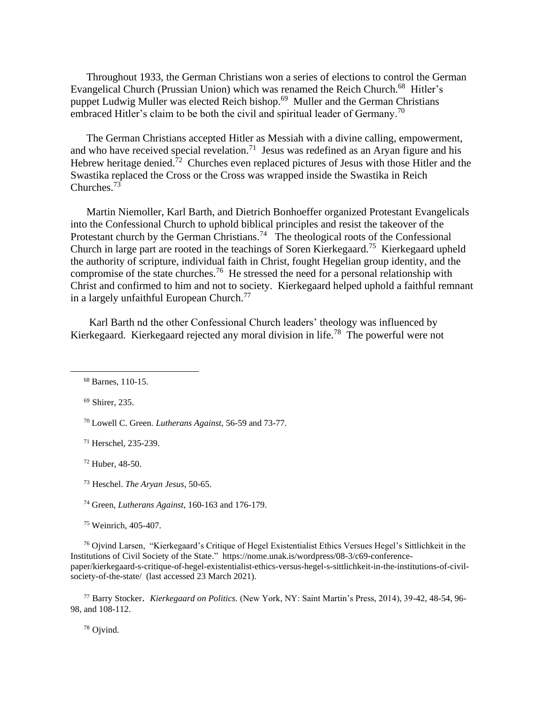Throughout 1933, the German Christians won a series of elections to control the German Evangelical Church (Prussian Union) which was renamed the Reich Church.<sup>68</sup> Hitler's puppet Ludwig Muller was elected Reich bishop.<sup>69</sup> Muller and the German Christians embraced Hitler's claim to be both the civil and spiritual leader of Germany.<sup>70</sup>

 The German Christians accepted Hitler as Messiah with a divine calling, empowerment, and who have received special revelation.<sup>71</sup> Jesus was redefined as an Aryan figure and his Hebrew heritage denied.<sup>72</sup> Churches even replaced pictures of Jesus with those Hitler and the Swastika replaced the Cross or the Cross was wrapped inside the Swastika in Reich Churches.<sup>73</sup>

 Martin Niemoller, Karl Barth, and Dietrich Bonhoeffer organized Protestant Evangelicals into the Confessional Church to uphold biblical principles and resist the takeover of the Protestant church by the German Christians.<sup>74</sup> The theological roots of the Confessional Church in large part are rooted in the teachings of Soren Kierkegaard.<sup>75</sup> Kierkegaard upheld the authority of scripture, individual faith in Christ, fought Hegelian group identity, and the compromise of the state churches.<sup>76</sup> He stressed the need for a personal relationship with Christ and confirmed to him and not to society. Kierkegaard helped uphold a faithful remnant in a largely unfaithful European Church.<sup>77</sup>

 Karl Barth nd the other Confessional Church leaders' theology was influenced by Kierkegaard. Kierkegaard rejected any moral division in life.<sup>78</sup> The powerful were not

<sup>69</sup> Shirer, 235.

<sup>70</sup> Lowell C. Green. *Lutherans Against,* 56-59 and 73-77.

<sup>71</sup> Herschel, 235-239.

<sup>72</sup> Huber, 48-50.

<sup>73</sup> Heschel. *The Aryan Jesus*, 50-65.

<sup>74</sup> Green, *Lutherans Against*, 160-163 and 176-179.

<sup>75</sup> Weinrich, 405-407.

<sup>76</sup> Ojvind Larsen, "Kierkegaard's Critique of Hegel Existentialist Ethics Versues Hegel's Sittlichkeit in the Institutions of Civil Society of the State." https://nome.unak.is/wordpress/08-3/c69-conferencepaper/kierkegaard-s-critique-of-hegel-existentialist-ethics-versus-hegel-s-sittlichkeit-in-the-institutions-of-civilsociety-of-the-state/ (last accessed 23 March 2021).

<sup>77</sup> Barry Stocker. *Kierkegaard on Politics.* (New York, NY: Saint Martin's Press, 2014), 39-42, 48-54, 96- 98, and 108-112.

<sup>78</sup> Ojvind.

<sup>68</sup> Barnes, 110-15.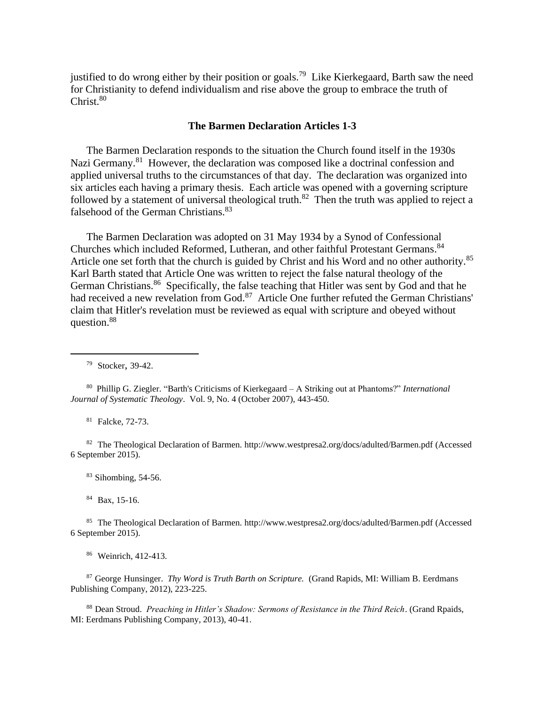justified to do wrong either by their position or goals.<sup>79</sup> Like Kierkegaard, Barth saw the need for Christianity to defend individualism and rise above the group to embrace the truth of Christ. 80

### **The Barmen Declaration Articles 1-3**

 The Barmen Declaration responds to the situation the Church found itself in the 1930s Nazi Germany.<sup>81</sup> However, the declaration was composed like a doctrinal confession and applied universal truths to the circumstances of that day. The declaration was organized into six articles each having a primary thesis. Each article was opened with a governing scripture followed by a statement of universal theological truth.<sup>82</sup> Then the truth was applied to reject a falsehood of the German Christians.<sup>83</sup>

 The Barmen Declaration was adopted on 31 May 1934 by a Synod of Confessional Churches which included Reformed, Lutheran, and other faithful Protestant Germans. 84 Article one set forth that the church is guided by Christ and his Word and no other authority.<sup>85</sup> Karl Barth stated that Article One was written to reject the false natural theology of the German Christians.<sup>86</sup> Specifically, the false teaching that Hitler was sent by God and that he had received a new revelation from God.<sup>87</sup> Article One further refuted the German Christians' claim that Hitler's revelation must be reviewed as equal with scripture and obeyed without question.<sup>88</sup>

<sup>81</sup> Falcke, 72-73.

<sup>82</sup> The Theological Declaration of Barmen. [http://www.westpresa2.org/docs/adulted/Barmen.pdf](about:blank) (Accessed 6 September 2015).

<sup>83</sup> Sihombing, 54-56.

<sup>84</sup> Bax, 15-16.

<sup>85</sup> The Theological Declaration of Barmen. [http://www.westpresa2.org/docs/adulted/Barmen.pdf](about:blank) (Accessed 6 September 2015).

<sup>86</sup> Weinrich, 412-413.

<sup>87</sup> George Hunsinger. *Thy Word is Truth Barth on Scripture.* (Grand Rapids, MI: William B. Eerdmans Publishing Company, 2012), 223-225.

<sup>88</sup> Dean Stroud. *Preaching in Hitler's Shadow: Sermons of Resistance in the Third Reich*. (Grand Rpaids, MI: Eerdmans Publishing Company, 2013), 40-41.

<sup>79</sup> Stocker, 39-42.

<sup>80</sup> Phillip G. Ziegler. "Barth's Criticisms of Kierkegaard – A Striking out at Phantoms?" *International Journal of Systematic Theology*. Vol. 9, No. 4 (October 2007), 443-450.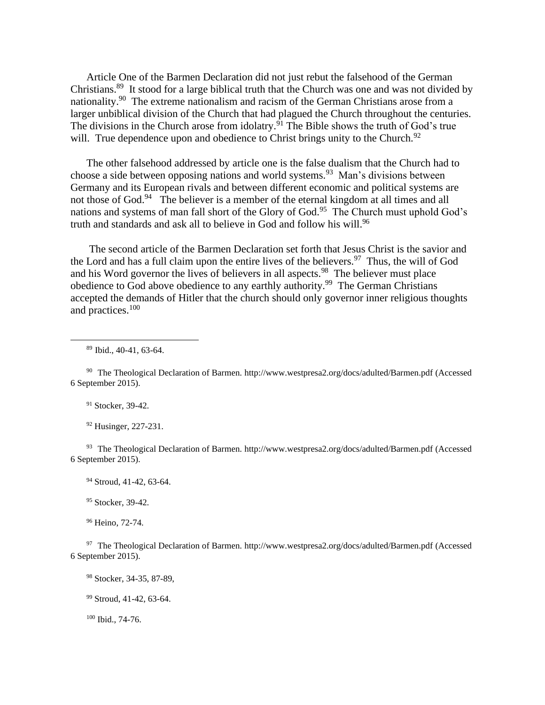Article One of the Barmen Declaration did not just rebut the falsehood of the German Christians.<sup>89</sup> It stood for a large biblical truth that the Church was one and was not divided by nationality.<sup>90</sup> The extreme nationalism and racism of the German Christians arose from a larger unbiblical division of the Church that had plagued the Church throughout the centuries. The divisions in the Church arose from idolatry.<sup>91</sup> The Bible shows the truth of God's true will. True dependence upon and obedience to Christ brings unity to the Church.<sup>92</sup>

 The other falsehood addressed by article one is the false dualism that the Church had to choose a side between opposing nations and world systems.<sup>93</sup> Man's divisions between Germany and its European rivals and between different economic and political systems are not those of God.<sup>94</sup> The believer is a member of the eternal kingdom at all times and all nations and systems of man fall short of the Glory of God.<sup>95</sup> The Church must uphold God's truth and standards and ask all to believe in God and follow his will.<sup>96</sup>

 The second article of the Barmen Declaration set forth that Jesus Christ is the savior and the Lord and has a full claim upon the entire lives of the believers.<sup>97</sup> Thus, the will of God and his Word governor the lives of believers in all aspects.<sup>98</sup> The believer must place obedience to God above obedience to any earthly authority.<sup>99</sup> The German Christians accepted the demands of Hitler that the church should only governor inner religious thoughts and practices.<sup>100</sup>

<sup>89</sup> Ibid., 40-41, 63-64.

<sup>91</sup> Stocker, 39-42.

<sup>92</sup> Husinger, 227-231.

<sup>93</sup> The Theological Declaration of Barmen. [http://www.westpresa2.org/docs/adulted/Barmen.pdf](about:blank) (Accessed 6 September 2015).

<sup>94</sup> Stroud, 41-42, 63-64.

<sup>95</sup> Stocker, 39-42.

<sup>96</sup> Heino, 72-74.

97 The Theological Declaration of Barmen. [http://www.westpresa2.org/docs/adulted/Barmen.pdf](about:blank) (Accessed 6 September 2015).

<sup>98</sup> Stocker, 34-35, 87-89,

<sup>99</sup> Stroud, 41-42, 63-64.

<sup>100</sup> Ibid., 74-76.

<sup>90</sup> The Theological Declaration of Barmen. [http://www.westpresa2.org/docs/adulted/Barmen.pdf](about:blank) (Accessed 6 September 2015).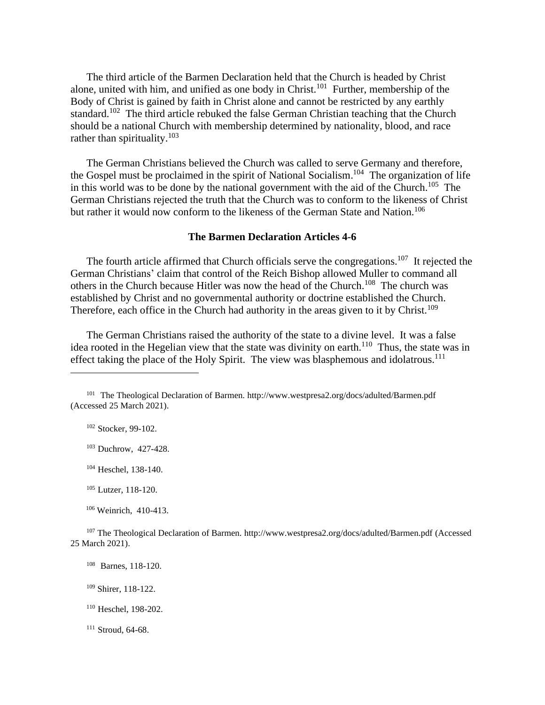The third article of the Barmen Declaration held that the Church is headed by Christ alone, united with him, and unified as one body in Christ.<sup>101</sup> Further, membership of the Body of Christ is gained by faith in Christ alone and cannot be restricted by any earthly standard.<sup>102</sup> The third article rebuked the false German Christian teaching that the Church should be a national Church with membership determined by nationality, blood, and race rather than spirituality.<sup>103</sup>

 The German Christians believed the Church was called to serve Germany and therefore, the Gospel must be proclaimed in the spirit of National Socialism.<sup>104</sup> The organization of life in this world was to be done by the national government with the aid of the Church.<sup>105</sup> The German Christians rejected the truth that the Church was to conform to the likeness of Christ but rather it would now conform to the likeness of the German State and Nation.<sup>106</sup>

# **The Barmen Declaration Articles 4-6**

The fourth article affirmed that Church officials serve the congregations.<sup>107</sup> It rejected the German Christians' claim that control of the Reich Bishop allowed Muller to command all others in the Church because Hitler was now the head of the Church.<sup>108</sup> The church was established by Christ and no governmental authority or doctrine established the Church. Therefore, each office in the Church had authority in the areas given to it by Christ.<sup>109</sup>

 The German Christians raised the authority of the state to a divine level. It was a false idea rooted in the Hegelian view that the state was divinity on earth.<sup>110</sup> Thus, the state was in effect taking the place of the Holy Spirit. The view was blasphemous and idolatrous.<sup>111</sup>

<sup>106</sup> Weinrich, 410-413.

- <sup>110</sup> Heschel, 198-202.
- <sup>111</sup> Stroud, 64-68.

<sup>101</sup> The Theological Declaration of Barmen. [http://www.westpresa2.org/docs/adulted/Barmen.pdf](about:blank) (Accessed 25 March 2021).

<sup>102</sup> Stocker, 99-102.

<sup>103</sup> Duchrow, 427-428.

<sup>104</sup> Heschel, 138-140.

<sup>105</sup> Lutzer, 118-120.

<sup>107</sup> The Theological Declaration of Barmen. [http://www.westpresa2.org/docs/adulted/Barmen.pdf](about:blank) (Accessed 25 March 2021).

<sup>108</sup> Barnes, 118-120.

<sup>109</sup> Shirer, 118-122.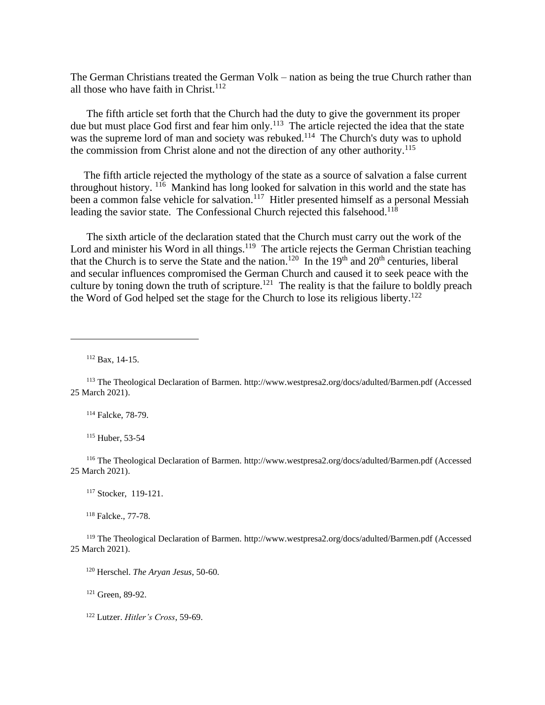The German Christians treated the German Volk – nation as being the true Church rather than all those who have faith in Christ. $112$ 

 The fifth article set forth that the Church had the duty to give the government its proper due but must place God first and fear him only.<sup>113</sup> The article rejected the idea that the state was the supreme lord of man and society was rebuked.<sup>114</sup> The Church's duty was to uphold the commission from Christ alone and not the direction of any other authority.<sup>115</sup>

 The fifth article rejected the mythology of the state as a source of salvation a false current throughout history. <sup>116</sup> Mankind has long looked for salvation in this world and the state has been a common false vehicle for salvation.<sup>117</sup> Hitler presented himself as a personal Messiah leading the savior state. The Confessional Church rejected this falsehood.<sup>118</sup>

 The sixth article of the declaration stated that the Church must carry out the work of the Lord and minister his Word in all things.<sup>119</sup> The article rejects the German Christian teaching that the Church is to serve the State and the nation.<sup>120</sup> In the 19<sup>th</sup> and  $20<sup>th</sup>$  centuries, liberal and secular influences compromised the German Church and caused it to seek peace with the culture by toning down the truth of scripture.<sup>121</sup> The reality is that the failure to boldly preach the Word of God helped set the stage for the Church to lose its religious liberty.<sup>122</sup>

<sup>112</sup> Bax, 14-15.

<sup>114</sup> Falcke, 78-79.

<sup>115</sup> Huber, 53-54

<sup>116</sup> The Theological Declaration of Barmen. [http://www.westpresa2.org/docs/adulted/Barmen.pdf](about:blank) (Accessed 25 March 2021).

<sup>117</sup> Stocker, 119-121.

<sup>118</sup> Falcke., 77-78.

<sup>119</sup> The Theological Declaration of Barmen. [http://www.westpresa2.org/docs/adulted/Barmen.pdf](about:blank) (Accessed 25 March 2021).

<sup>120</sup> Herschel. *The Aryan Jesus*, 50-60.

<sup>121</sup> Green, 89-92.

<sup>122</sup> Lutzer. *Hitler's Cross*, 59-69.

<sup>113</sup> The Theological Declaration of Barmen. [http://www.westpresa2.org/docs/adulted/Barmen.pdf](about:blank) (Accessed 25 March 2021).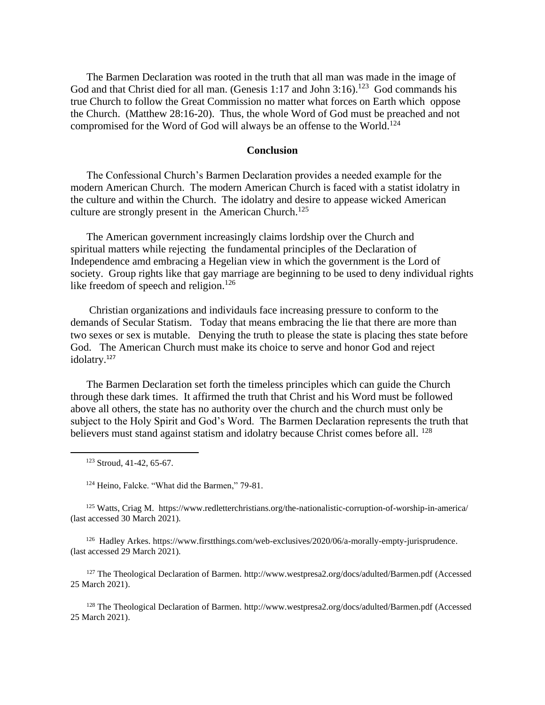The Barmen Declaration was rooted in the truth that all man was made in the image of God and that Christ died for all man. (Genesis 1:17 and John 3:16).<sup>123</sup> God commands his true Church to follow the Great Commission no matter what forces on Earth which oppose the Church. (Matthew 28:16-20). Thus, the whole Word of God must be preached and not compromised for the Word of God will always be an offense to the World. 124

### **Conclusion**

 The Confessional Church's Barmen Declaration provides a needed example for the modern American Church. The modern American Church is faced with a statist idolatry in the culture and within the Church. The idolatry and desire to appease wicked American culture are strongly present in the American Church.<sup>125</sup>

 The American government increasingly claims lordship over the Church and spiritual matters while rejecting the fundamental principles of the Declaration of Independence amd embracing a Hegelian view in which the government is the Lord of society. Group rights like that gay marriage are beginning to be used to deny individual rights like freedom of speech and religion.<sup>126</sup>

 Christian organizations and individauls face increasing pressure to conform to the demands of Secular Statism. Today that means embracing the lie that there are more than two sexes or sex is mutable. Denying the truth to please the state is placing thes state before God. The American Church must make its choice to serve and honor God and reject idolatry.<sup>127</sup>

 The Barmen Declaration set forth the timeless principles which can guide the Church through these dark times. It affirmed the truth that Christ and his Word must be followed above all others, the state has no authority over the church and the church must only be subject to the Holy Spirit and God's Word. The Barmen Declaration represents the truth that believers must stand against statism and idolatry because Christ comes before all. <sup>128</sup>

<sup>124</sup> Heino, Falcke. "What did the Barmen," 79-81.

<sup>125</sup> Watts, Criag M. <https://www.redletterchristians.org/the-nationalistic-corruption-of-worship-in-america/> (last accessed 30 March 2021).

<sup>126</sup> Hadley Arkes[. https://www.firstthings.com/web-exclusives/2020/06/a-morally-empty-jurisprudence.](https://www.firstthings.com/web-exclusives/2020/06/a-morally-empty-jurisprudence) (last accessed 29 March 2021).

<sup>127</sup> The Theological Declaration of Barmen. [http://www.westpresa2.org/docs/adulted/Barmen.pdf](about:blank) (Accessed 25 March 2021).

<sup>128</sup> The Theological Declaration of Barmen. [http://www.westpresa2.org/docs/adulted/Barmen.pdf](about:blank) (Accessed 25 March 2021).

<sup>123</sup> Stroud, 41-42, 65-67.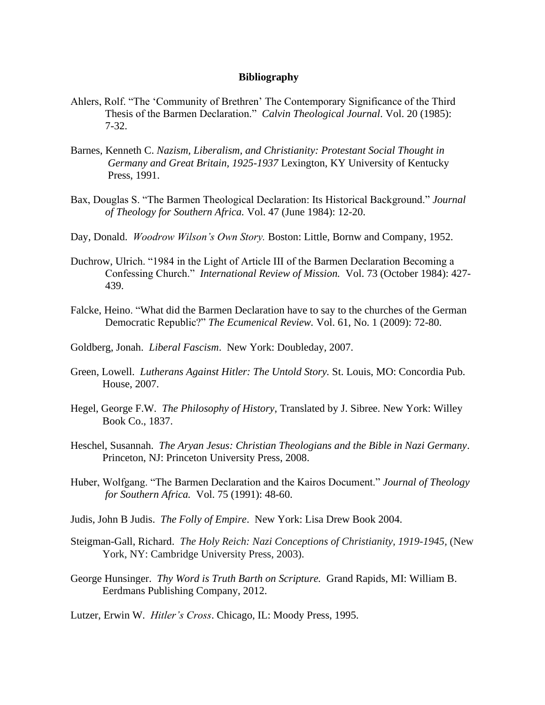### **Bibliography**

- Ahlers, Rolf. "The 'Community of Brethren' The Contemporary Significance of the Third Thesis of the Barmen Declaration." *Calvin Theological Journal*. Vol. 20 (1985): 7-32.
- Barnes, Kenneth C. *Nazism, Liberalism, and Christianity: Protestant Social Thought in Germany and Great Britain, 1925-1937* Lexington, KY University of Kentucky Press, 1991.
- Bax, Douglas S. "The Barmen Theological Declaration: Its Historical Background." *Journal of Theology for Southern Africa.* Vol. 47 (June 1984): 12-20.
- Day, Donald. *Woodrow Wilson's Own Story.* Boston: Little, Bornw and Company, 1952.
- Duchrow, Ulrich. "1984 in the Light of Article III of the Barmen Declaration Becoming a Confessing Church." *International Review of Mission.* Vol. 73 (October 1984): 427- 439.
- Falcke, Heino. "What did the Barmen Declaration have to say to the churches of the German Democratic Republic?" *The Ecumenical Review.* Vol. 61, No. 1 (2009): 72-80.
- Goldberg, Jonah. *Liberal Fascism*. New York: Doubleday, 2007.
- Green, Lowell. *Lutherans Against Hitler: The Untold Story.* St. Louis, MO: Concordia Pub. House, 2007.
- Hegel, George F.W. *The Philosophy of History*, Translated by J. Sibree. New York: Willey Book Co., 1837.
- Heschel, Susannah. *The Aryan Jesus: Christian Theologians and the Bible in Nazi Germany*. Princeton, NJ: Princeton University Press, 2008.
- Huber, Wolfgang. "The Barmen Declaration and the Kairos Document." *Journal of Theology for Southern Africa.* Vol. 75 (1991): 48-60.
- Judis, John B Judis. *The Folly of Empire*. New York: Lisa Drew Book 2004.
- Steigman-Gall, Richard. *The Holy Reich: Nazi Conceptions of Christianity, 1919-1945,* (New York, NY: Cambridge University Press, 2003).
- George Hunsinger. *Thy Word is Truth Barth on Scripture.* Grand Rapids, MI: William B. Eerdmans Publishing Company, 2012.

Lutzer, Erwin W. *Hitler's Cross*. Chicago, IL: Moody Press, 1995.